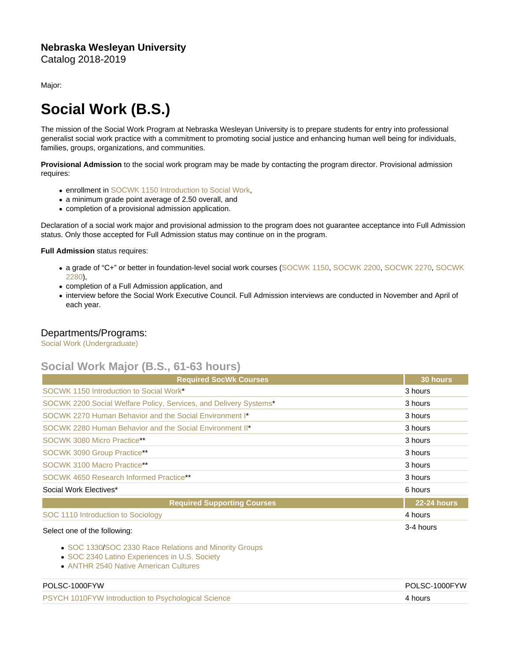## Nebraska Wesleyan University Catalog 2018-2019

Major:

## Social Work (B.S.)

The mission of the Social Work Program at Nebraska Wesleyan University is to prepare students for entry into professional generalist social work practice with a commitment to promoting social justice and enhancing human well being for individuals, families, groups, organizations, and communities.

Provisional Admission to the social work program may be made by contacting the program director. Provisional admission requires:

- **enrollment in [SOCWK 1150 Introduction to Social Work,](https://catalog.nebrwesleyan.edu/cc/2021-2022/course/360209)**
- a minimum grade point average of 2.50 overall, and
- completion of a provisional admission application.

Declaration of a social work major and provisional admission to the program does not guarantee acceptance into Full Admission status. Only those accepted for Full Admission status may continue on in the program.

Full Admission status requires:

- a grade of "C+" or better in foundation-level social work courses ([SOCWK 1150](https://catalog.nebrwesleyan.edu/cc/2021-2022/course/360209), [SOCWK 2200,](https://catalog.nebrwesleyan.edu/cc/2021-2022/course/360210) [SOCWK 2270](https://catalog.nebrwesleyan.edu/cc/2021-2022/course/360211), [SOCWK](https://catalog.nebrwesleyan.edu/cc/2021-2022/course/360212) [2280](https://catalog.nebrwesleyan.edu/cc/2021-2022/course/360212)),
- completion of a Full Admission application, and
- interview before the Social Work Executive Council. Full Admission interviews are conducted in November and April of each year.

## Departments/Programs:

[Social Work \(Undergraduate\)](https://catalog.nebrwesleyan.edu/cc/2018-2019/department/330866)

## Social Work Major (B.S., 61-63 hours)

| <b>Required SocWk Courses</b>                                     | 30 hours    |
|-------------------------------------------------------------------|-------------|
| SOCWK 1150 Introduction to Social Work*                           | 3 hours     |
| SOCWK 2200 Social Welfare Policy, Services, and Delivery Systems* | 3 hours     |
| SOCWK 2270 Human Behavior and the Social Environment I*           | 3 hours     |
| SOCWK 2280 Human Behavior and the Social Environment II*          | 3 hours     |
| SOCWK 3080 Micro Practice**                                       | 3 hours     |
| SOCWK 3090 Group Practice**                                       | 3 hours     |
| SOCWK 3100 Macro Practice**                                       | 3 hours     |
| SOCWK 4650 Research Informed Practice**                           | 3 hours     |
| Social Work Electives*                                            | 6 hours     |
| <b>Required Supporting Courses</b>                                | 22-24 hours |
| SOC 1110 Introduction to Sociology                                | 4 hours     |
| Select one of the following:                                      | 3-4 hours   |

- [SOC 1330](https://catalog.nebrwesleyan.edu/cc/2021-2022/course/360836)/[SOC 2330 Race Relations and Minority Groups](https://catalog.nebrwesleyan.edu/cc/2021-2022/course/360976)
- [SOC 2340 Latino Experiences in U.S. Society](https://catalog.nebrwesleyan.edu/cc/2021-2022/course/360839)
- [ANTHR 2540 Native American Cultures](https://catalog.nebrwesleyan.edu/cc/2021-2022/course/359861)

| <b>PSYCH 1010FYW Introduction to Psychological Science</b><br>4 hours |  |
|-----------------------------------------------------------------------|--|